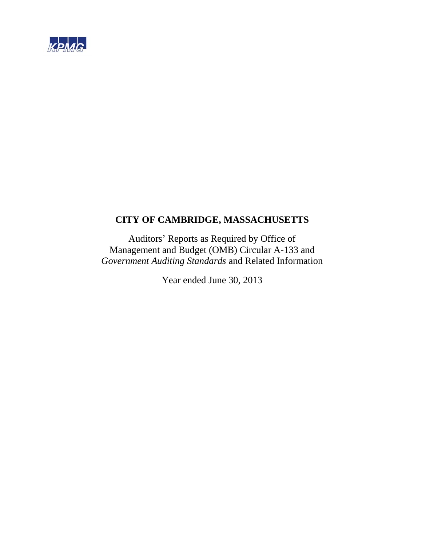

# **CITY OF CAMBRIDGE, MASSACHUSETTS**

Auditors' Reports as Required by Office of Management and Budget (OMB) Circular A-133 and *Government Auditing Standards* and Related Information

Year ended June 30, 2013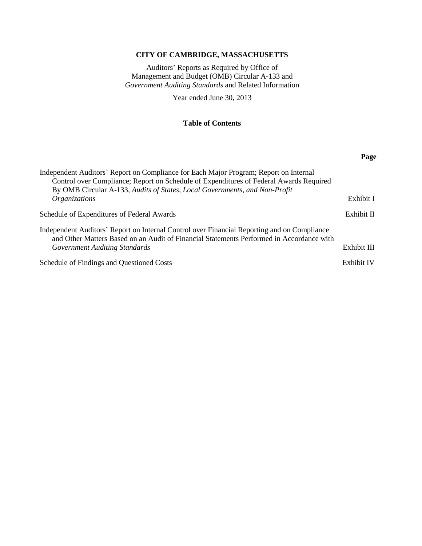# **CITY OF CAMBRIDGE, MASSACHUSETTS**

Auditors' Reports as Required by Office of Management and Budget (OMB) Circular A-133 and *Government Auditing Standards* and Related Information

Year ended June 30, 2013

# **Table of Contents**

|                                                                                                                                                                                                                                                               | Page        |
|---------------------------------------------------------------------------------------------------------------------------------------------------------------------------------------------------------------------------------------------------------------|-------------|
| Independent Auditors' Report on Compliance for Each Major Program; Report on Internal<br>Control over Compliance; Report on Schedule of Expenditures of Federal Awards Required<br>By OMB Circular A-133, Audits of States, Local Governments, and Non-Profit |             |
| <i><b>Organizations</b></i>                                                                                                                                                                                                                                   | Exhibit I   |
| Schedule of Expenditures of Federal Awards                                                                                                                                                                                                                    | Exhibit II  |
| Independent Auditors' Report on Internal Control over Financial Reporting and on Compliance<br>and Other Matters Based on an Audit of Financial Statements Performed in Accordance with<br>Government Auditing Standards                                      | Exhibit III |
| Schedule of Findings and Questioned Costs                                                                                                                                                                                                                     | Exhibit IV  |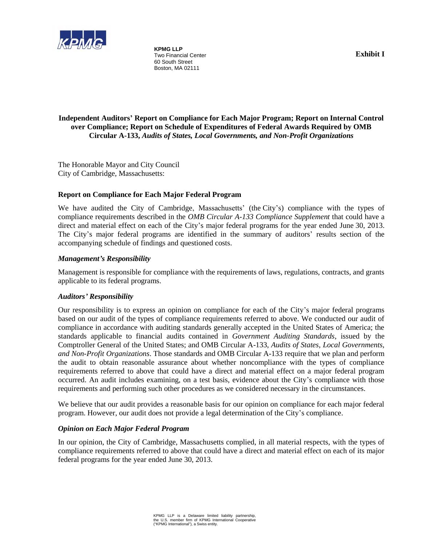

**KPMG LLP**  Two Financial Center 60 South Street Boston, MA 02111

# **Independent Auditors' Report on Compliance for Each Major Program; Report on Internal Control over Compliance; Report on Schedule of Expenditures of Federal Awards Required by OMB Circular A-133,** *Audits of States, Local Governments, and Non-Profit Organizations*

The Honorable Mayor and City Council City of Cambridge, Massachusetts:

# **Report on Compliance for Each Major Federal Program**

We have audited the City of Cambridge, Massachusetts' (the City's) compliance with the types of compliance requirements described in the *OMB Circular A-133 Compliance Supplement* that could have a direct and material effect on each of the City's major federal programs for the year ended June 30, 2013. The City's major federal programs are identified in the summary of auditors' results section of the accompanying schedule of findings and questioned costs.

# *Management's Responsibility*

Management is responsible for compliance with the requirements of laws, regulations, contracts, and grants applicable to its federal programs.

# *Auditors' Responsibility*

Our responsibility is to express an opinion on compliance for each of the City's major federal programs based on our audit of the types of compliance requirements referred to above. We conducted our audit of compliance in accordance with auditing standards generally accepted in the United States of America; the standards applicable to financial audits contained in *Government Auditing Standards*, issued by the Comptroller General of the United States; and OMB Circular A-133, *Audits of States, Local Governments, and Non-Profit Organizations*. Those standards and OMB Circular A-133 require that we plan and perform the audit to obtain reasonable assurance about whether noncompliance with the types of compliance requirements referred to above that could have a direct and material effect on a major federal program occurred. An audit includes examining, on a test basis, evidence about the City's compliance with those requirements and performing such other procedures as we considered necessary in the circumstances.

We believe that our audit provides a reasonable basis for our opinion on compliance for each major federal program. However, our audit does not provide a legal determination of the City's compliance.

# *Opinion on Each Major Federal Program*

In our opinion, the City of Cambridge, Massachusetts complied, in all material respects, with the types of compliance requirements referred to above that could have a direct and material effect on each of its major federal programs for the year ended June 30, 2013.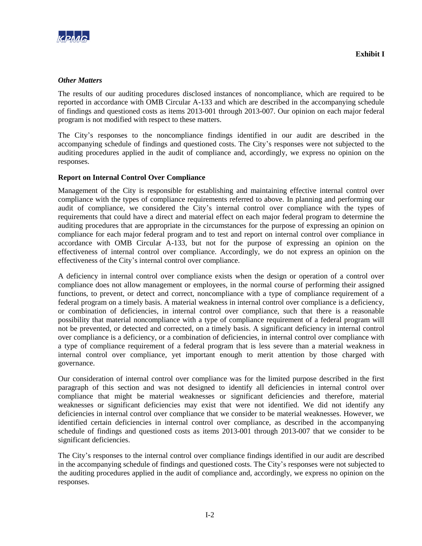

# *Other Matters*

The results of our auditing procedures disclosed instances of noncompliance, which are required to be reported in accordance with OMB Circular A-133 and which are described in the accompanying schedule of findings and questioned costs as items 2013-001 through 2013-007. Our opinion on each major federal program is not modified with respect to these matters.

The City's responses to the noncompliance findings identified in our audit are described in the accompanying schedule of findings and questioned costs. The City's responses were not subjected to the auditing procedures applied in the audit of compliance and, accordingly, we express no opinion on the responses.

# **Report on Internal Control Over Compliance**

Management of the City is responsible for establishing and maintaining effective internal control over compliance with the types of compliance requirements referred to above. In planning and performing our audit of compliance, we considered the City's internal control over compliance with the types of requirements that could have a direct and material effect on each major federal program to determine the auditing procedures that are appropriate in the circumstances for the purpose of expressing an opinion on compliance for each major federal program and to test and report on internal control over compliance in accordance with OMB Circular A-133, but not for the purpose of expressing an opinion on the effectiveness of internal control over compliance. Accordingly, we do not express an opinion on the effectiveness of the City's internal control over compliance.

A deficiency in internal control over compliance exists when the design or operation of a control over compliance does not allow management or employees, in the normal course of performing their assigned functions, to prevent, or detect and correct, noncompliance with a type of compliance requirement of a federal program on a timely basis. A material weakness in internal control over compliance is a deficiency, or combination of deficiencies, in internal control over compliance, such that there is a reasonable possibility that material noncompliance with a type of compliance requirement of a federal program will not be prevented, or detected and corrected, on a timely basis. A significant deficiency in internal control over compliance is a deficiency, or a combination of deficiencies, in internal control over compliance with a type of compliance requirement of a federal program that is less severe than a material weakness in internal control over compliance, yet important enough to merit attention by those charged with governance.

Our consideration of internal control over compliance was for the limited purpose described in the first paragraph of this section and was not designed to identify all deficiencies in internal control over compliance that might be material weaknesses or significant deficiencies and therefore, material weaknesses or significant deficiencies may exist that were not identified. We did not identify any deficiencies in internal control over compliance that we consider to be material weaknesses. However, we identified certain deficiencies in internal control over compliance, as described in the accompanying schedule of findings and questioned costs as items 2013-001 through 2013-007 that we consider to be significant deficiencies.

The City's responses to the internal control over compliance findings identified in our audit are described in the accompanying schedule of findings and questioned costs. The City's responses were not subjected to the auditing procedures applied in the audit of compliance and, accordingly, we express no opinion on the responses.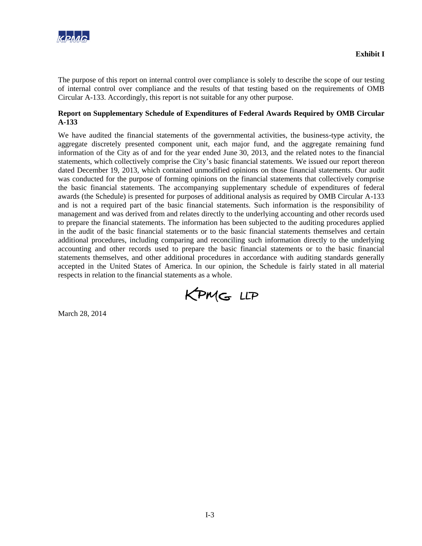

The purpose of this report on internal control over compliance is solely to describe the scope of our testing of internal control over compliance and the results of that testing based on the requirements of OMB Circular A-133. Accordingly, this report is not suitable for any other purpose.

# **Report on Supplementary Schedule of Expenditures of Federal Awards Required by OMB Circular A-133**

We have audited the financial statements of the governmental activities, the business-type activity, the aggregate discretely presented component unit, each major fund, and the aggregate remaining fund information of the City as of and for the year ended June 30, 2013, and the related notes to the financial statements, which collectively comprise the City's basic financial statements. We issued our report thereon dated December 19, 2013, which contained unmodified opinions on those financial statements. Our audit was conducted for the purpose of forming opinions on the financial statements that collectively comprise the basic financial statements. The accompanying supplementary schedule of expenditures of federal awards (the Schedule) is presented for purposes of additional analysis as required by OMB Circular A-133 and is not a required part of the basic financial statements. Such information is the responsibility of management and was derived from and relates directly to the underlying accounting and other records used to prepare the financial statements. The information has been subjected to the auditing procedures applied in the audit of the basic financial statements or to the basic financial statements themselves and certain additional procedures, including comparing and reconciling such information directly to the underlying accounting and other records used to prepare the basic financial statements or to the basic financial statements themselves, and other additional procedures in accordance with auditing standards generally accepted in the United States of America. In our opinion, the Schedule is fairly stated in all material respects in relation to the financial statements as a whole.

KPMG LLP

March 28, 2014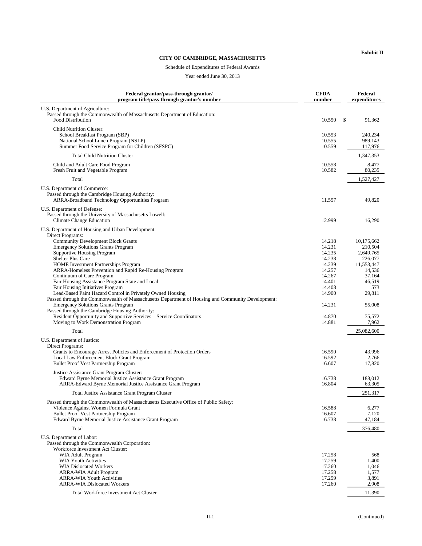#### **CITY OF CAMBRIDGE, MASSACHUSETTS**

#### Schedule of Expenditures of Federal Awards

Year ended June 30, 2013

| Federal grantor/pass-through grantor/<br>program title/pass-through grantor's number                                                                                                                                                                                                                                                                                                                                                                                                                                                                                                                                                                                                                                                                                                                                                                                                                                                                                                                                                                                                                                                                                                                                                 | <b>CFDA</b><br>number                                                                                                                                                            |              | Federal<br>expenditures                                                                                                                                                                                 |
|--------------------------------------------------------------------------------------------------------------------------------------------------------------------------------------------------------------------------------------------------------------------------------------------------------------------------------------------------------------------------------------------------------------------------------------------------------------------------------------------------------------------------------------------------------------------------------------------------------------------------------------------------------------------------------------------------------------------------------------------------------------------------------------------------------------------------------------------------------------------------------------------------------------------------------------------------------------------------------------------------------------------------------------------------------------------------------------------------------------------------------------------------------------------------------------------------------------------------------------|----------------------------------------------------------------------------------------------------------------------------------------------------------------------------------|--------------|---------------------------------------------------------------------------------------------------------------------------------------------------------------------------------------------------------|
| U.S. Department of Agriculture:<br>Passed through the Commonwealth of Massachusetts Department of Education:<br>Food Distribution                                                                                                                                                                                                                                                                                                                                                                                                                                                                                                                                                                                                                                                                                                                                                                                                                                                                                                                                                                                                                                                                                                    | 10.550                                                                                                                                                                           | $\mathbb{S}$ | 91,362                                                                                                                                                                                                  |
| <b>Child Nutrition Cluster:</b><br>School Breakfast Program (SBP)<br>National School Lunch Program (NSLP)<br>Summer Food Service Program for Children (SFSPC)                                                                                                                                                                                                                                                                                                                                                                                                                                                                                                                                                                                                                                                                                                                                                                                                                                                                                                                                                                                                                                                                        | 10.553<br>10.555<br>10.559                                                                                                                                                       |              | 240,234<br>989,143<br>117,976                                                                                                                                                                           |
| <b>Total Child Nutrition Cluster</b>                                                                                                                                                                                                                                                                                                                                                                                                                                                                                                                                                                                                                                                                                                                                                                                                                                                                                                                                                                                                                                                                                                                                                                                                 |                                                                                                                                                                                  |              | 1,347,353                                                                                                                                                                                               |
| Child and Adult Care Food Program<br>Fresh Fruit and Vegetable Program                                                                                                                                                                                                                                                                                                                                                                                                                                                                                                                                                                                                                                                                                                                                                                                                                                                                                                                                                                                                                                                                                                                                                               | 10.558<br>10.582                                                                                                                                                                 |              | 8,477<br>80,235                                                                                                                                                                                         |
| Total                                                                                                                                                                                                                                                                                                                                                                                                                                                                                                                                                                                                                                                                                                                                                                                                                                                                                                                                                                                                                                                                                                                                                                                                                                |                                                                                                                                                                                  |              | 1,527,427                                                                                                                                                                                               |
| U.S. Department of Commerce:<br>Passed through the Cambridge Housing Authority:<br>ARRA-Broadband Technology Opportunities Program                                                                                                                                                                                                                                                                                                                                                                                                                                                                                                                                                                                                                                                                                                                                                                                                                                                                                                                                                                                                                                                                                                   | 11.557                                                                                                                                                                           |              | 49,820                                                                                                                                                                                                  |
| U.S. Department of Defense:<br>Passed through the University of Massachusetts Lowell:<br><b>Climate Change Education</b>                                                                                                                                                                                                                                                                                                                                                                                                                                                                                                                                                                                                                                                                                                                                                                                                                                                                                                                                                                                                                                                                                                             | 12.999                                                                                                                                                                           |              | 16,290                                                                                                                                                                                                  |
| U.S. Department of Housing and Urban Development:<br>Direct Programs:<br><b>Community Development Block Grants</b><br><b>Emergency Solutions Grants Program</b><br><b>Supportive Housing Program</b><br>Shelter Plus Care<br>HOME Investment Partnerships Program<br>ARRA-Homeless Prevention and Rapid Re-Housing Program<br>Continuum of Care Program<br>Fair Housing Assistance Program State and Local<br>Fair Housing Initiatives Program<br>Lead-Based Paint Hazard Control in Privately Owned Housing<br>Passed through the Commonwealth of Massachusetts Department of Housing and Community Development:<br><b>Emergency Solutions Grants Program</b><br>Passed through the Cambridge Housing Authority:<br>Resident Opportunity and Supportive Services – Service Coordinators<br>Moving to Work Demonstration Program<br>Total<br>U.S. Department of Justice:<br>Direct Programs:<br>Grants to Encourage Arrest Policies and Enforcement of Protection Orders<br>Local Law Enforcement Block Grant Program<br>Bullet Proof Vest Partnership Program<br>Justice Assistance Grant Program Cluster:<br>Edward Byrne Memorial Justice Assistance Grant Program<br>ARRA-Edward Byrne Memorial Justice Assistance Grant Program | 14.218<br>14.231<br>14.235<br>14.238<br>14.239<br>14.257<br>14.267<br>14.401<br>14.408<br>14.900<br>14.231<br>14.870<br>14.881<br>16.590<br>16.592<br>16.607<br>16.738<br>16.804 |              | 10,175,662<br>210.504<br>2,649,765<br>226,077<br>11,553,447<br>14,536<br>37,164<br>46,519<br>573<br>29,811<br>55,008<br>75,572<br>7,962<br>25,082,600<br>43,996<br>2,766<br>17,820<br>188,012<br>63,305 |
| <b>Total Justice Assistance Grant Program Cluster</b>                                                                                                                                                                                                                                                                                                                                                                                                                                                                                                                                                                                                                                                                                                                                                                                                                                                                                                                                                                                                                                                                                                                                                                                |                                                                                                                                                                                  |              | 251,317                                                                                                                                                                                                 |
| Passed through the Commonwealth of Massachusetts Executive Office of Public Safety:<br>Violence Against Women Formula Grant<br><b>Bullet Proof Vest Partnership Program</b><br>Edward Byrne Memorial Justice Assistance Grant Program                                                                                                                                                                                                                                                                                                                                                                                                                                                                                                                                                                                                                                                                                                                                                                                                                                                                                                                                                                                                | 16.588<br>16.607<br>16.738                                                                                                                                                       |              | 6,277<br>7,120<br>47,184                                                                                                                                                                                |
| Total                                                                                                                                                                                                                                                                                                                                                                                                                                                                                                                                                                                                                                                                                                                                                                                                                                                                                                                                                                                                                                                                                                                                                                                                                                |                                                                                                                                                                                  |              | 376,480                                                                                                                                                                                                 |
| U.S. Department of Labor:<br>Passed through the Commonwealth Corporation:<br>Workforce Investment Act Cluster:<br>WIA Adult Program<br><b>WIA Youth Activities</b><br><b>WIA Dislocated Workers</b><br>ARRA-WIA Adult Program<br><b>ARRA-WIA Youth Activities</b><br><b>ARRA-WIA Dislocated Workers</b><br>Total Workforce Investment Act Cluster                                                                                                                                                                                                                                                                                                                                                                                                                                                                                                                                                                                                                                                                                                                                                                                                                                                                                    | 17.258<br>17.259<br>17.260<br>17.258<br>17.259<br>17.260                                                                                                                         |              | 568<br>1,400<br>1,046<br>1,577<br>3,891<br>2,908<br>11,390                                                                                                                                              |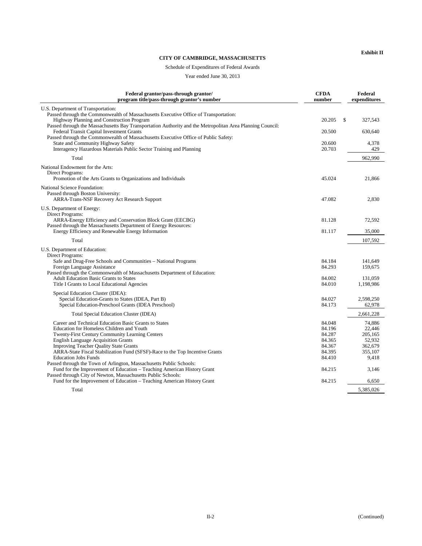#### **CITY OF CAMBRIDGE, MASSACHUSETTS**

#### Schedule of Expenditures of Federal Awards

Year ended June 30, 2013

| Federal grantor/pass-through grantor/<br>program title/pass-through grantor's number                                                                                                                                                                                                                                                                                                                                                       | <b>CFDA</b><br>number                                              | Federal<br>expenditures                                              |
|--------------------------------------------------------------------------------------------------------------------------------------------------------------------------------------------------------------------------------------------------------------------------------------------------------------------------------------------------------------------------------------------------------------------------------------------|--------------------------------------------------------------------|----------------------------------------------------------------------|
| U.S. Department of Transportation:<br>Passed through the Commonwealth of Massachusetts Executive Office of Transportation:<br>Highway Planning and Construction Program                                                                                                                                                                                                                                                                    | 20.205                                                             | \$<br>327,543                                                        |
| Passed through the Massachusetts Bay Transportation Authority and the Metropolitan Area Planning Council:<br>Federal Transit Capital Investment Grants<br>Passed through the Commonwealth of Massachusetts Executive Office of Public Safety:                                                                                                                                                                                              | 20.500                                                             | 630,640                                                              |
| State and Community Highway Safety<br>Interagency Hazardous Materials Public Sector Training and Planning                                                                                                                                                                                                                                                                                                                                  | 20.600<br>20.703                                                   | 4,378<br>429                                                         |
| Total                                                                                                                                                                                                                                                                                                                                                                                                                                      |                                                                    | 962,990                                                              |
| National Endowment for the Arts:<br>Direct Programs:<br>Promotion of the Arts Grants to Organizations and Individuals                                                                                                                                                                                                                                                                                                                      | 45.024                                                             | 21,866                                                               |
| National Science Foundation:<br>Passed through Boston University:<br><b>ARRA-Trans-NSF Recovery Act Research Support</b>                                                                                                                                                                                                                                                                                                                   | 47.082                                                             | 2,830                                                                |
| U.S. Department of Energy:<br>Direct Programs:<br>ARRA-Energy Efficiency and Conservation Block Grant (EECBG)                                                                                                                                                                                                                                                                                                                              | 81.128                                                             | 72,592                                                               |
| Passed through the Massachusetts Department of Energy Resources:<br>Energy Efficiency and Renewable Energy Information                                                                                                                                                                                                                                                                                                                     | 81.117                                                             | 35,000                                                               |
| Total                                                                                                                                                                                                                                                                                                                                                                                                                                      |                                                                    | 107,592                                                              |
| U.S. Department of Education:<br>Direct Programs:<br>Safe and Drug-Free Schools and Communities - National Programs<br>Foreign Language Assistance<br>Passed through the Commonwealth of Massachusetts Department of Education:<br><b>Adult Education Basic Grants to States</b><br>Title I Grants to Local Educational Agencies                                                                                                           | 84.184<br>84.293<br>84.002<br>84.010                               | 141.649<br>159,675<br>131,059<br>1,198,986                           |
| Special Education Cluster (IDEA):<br>Special Education-Grants to States (IDEA, Part B)<br>Special Education-Preschool Grants (IDEA Preschool)                                                                                                                                                                                                                                                                                              | 84.027<br>84.173                                                   | 2,598,250<br>62,978                                                  |
| <b>Total Special Education Cluster (IDEA)</b>                                                                                                                                                                                                                                                                                                                                                                                              |                                                                    | 2,661,228                                                            |
| Career and Technical Education Basic Grants to States<br>Education for Homeless Children and Youth<br>Twenty-First Century Community Learning Centers<br><b>English Language Acquisition Grants</b><br><b>Improving Teacher Quality State Grants</b><br>ARRA-State Fiscal Stabilization Fund (SFSF)-Race to the Top Incentive Grants<br><b>Education Jobs Funds</b><br>Passed through the Town of Arlington, Massachusetts Public Schools: | 84.048<br>84.196<br>84.287<br>84.365<br>84.367<br>84.395<br>84.410 | 74.886<br>22,446<br>205,165<br>52.932<br>362,679<br>355,107<br>9,418 |
| Fund for the Improvement of Education - Teaching American History Grant<br>Passed through City of Newton, Massachusetts Public Schools:                                                                                                                                                                                                                                                                                                    | 84.215                                                             | 3,146                                                                |
| Fund for the Improvement of Education – Teaching American History Grant                                                                                                                                                                                                                                                                                                                                                                    | 84.215                                                             | 6,650                                                                |
| Total                                                                                                                                                                                                                                                                                                                                                                                                                                      |                                                                    | 5,385,026                                                            |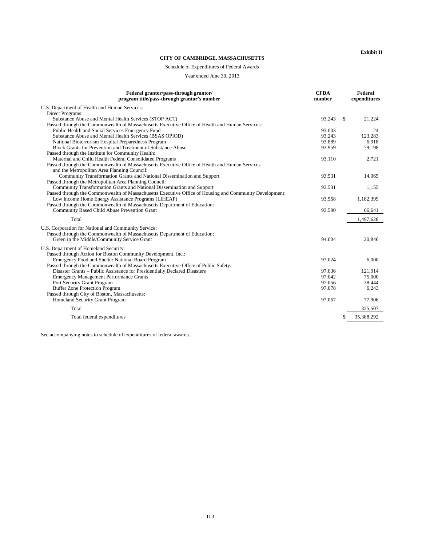#### **CITY OF CAMBRIDGE, MASSACHUSETTS**

# Schedule of Expenditures of Federal Awards

Year ended June 30, 2013

| Federal grantor/pass-through grantor/<br>program title/pass-through grantor's number                                                          | <b>CFDA</b><br>number |   | Federal<br>expenditures |
|-----------------------------------------------------------------------------------------------------------------------------------------------|-----------------------|---|-------------------------|
| U.S. Department of Health and Human Services:                                                                                                 |                       |   |                         |
| Direct Programs:                                                                                                                              |                       |   |                         |
| Substance Abuse and Mental Health Services (STOP ACT)                                                                                         | 93.243                | S | 21,224                  |
| Passed through the Commonwealth of Massachusetts Executive Office of Health and Human Services:                                               |                       |   |                         |
| Public Health and Social Services Emergency Fund                                                                                              | 93.003                |   | 24                      |
| Substance Abuse and Mental Health Services (BSAS OPIOD)                                                                                       | 93.243                |   | 123,283                 |
| National Bioterrorism Hospital Preparedness Program                                                                                           | 93.889                |   | 6.918                   |
| Block Grants for Prevention and Treatment of Substance Abuse                                                                                  | 93.959                |   | 79,198                  |
| Passed through the Institute for Community Health:                                                                                            |                       |   |                         |
| Maternal and Child Health Federal Consolidated Programs                                                                                       | 93.110                |   | 2,721                   |
| Passed through the Commonwealth of Massachusetts Executive Office of Health and Human Services<br>and the Metropolitan Area Planning Council: |                       |   |                         |
| Community Transformation Grants and National Dissemination and Support                                                                        | 93.531                |   | 14,065                  |
| Passed through the Metropolitan Area Planning Council:                                                                                        |                       |   |                         |
| Community Transformation Grants and National Dissemination and Support                                                                        | 93.531                |   | 1,155                   |
| Passed through the Commonwealth of Massachusetts Executive Office of Housing and Community Development:                                       |                       |   |                         |
| Low Income Home Energy Assistance Programs (LIHEAP)                                                                                           | 93.568                |   | 1,182,399               |
| Passed through the Commonwealth of Massachusetts Department of Education:                                                                     |                       |   |                         |
| Community Based Child Abuse Prevention Grant                                                                                                  | 93.590                |   | 66,641                  |
| Total                                                                                                                                         |                       |   | 1,497,628               |
| U.S. Corporation for National and Community Service:                                                                                          |                       |   |                         |
| Passed through the Commonwealth of Massachusetts Department of Education:                                                                     |                       |   |                         |
| Green in the Middle/Community Service Grant                                                                                                   | 94.004                |   | 20,846                  |
|                                                                                                                                               |                       |   |                         |
| U.S. Department of Homeland Security:                                                                                                         |                       |   |                         |
| Passed through Action for Boston Community Development, Inc.:                                                                                 | 97.024                |   |                         |
| Emergency Food and Shelter National Board Program                                                                                             |                       |   | 6,000                   |
| Passed through the Commonwealth of Massachusetts Executive Office of Public Safety:                                                           | 97.036                |   | 121,914                 |
| Disaster Grants – Public Assistance for Presidentially Declared Disasters<br><b>Emergency Management Performance Grants</b>                   | 97.042                |   | 75,000                  |
| Port Security Grant Program                                                                                                                   | 97.056                |   | 38,444                  |
| <b>Buffer Zone Protection Program</b>                                                                                                         | 97.078                |   | 6,243                   |
| Passed through City of Boston, Massachusetts:                                                                                                 |                       |   |                         |
| Homeland Security Grant Program                                                                                                               | 97.067                |   | 77,906                  |
|                                                                                                                                               |                       |   |                         |
| Total                                                                                                                                         |                       |   | 325,507                 |
| Total federal expenditures                                                                                                                    |                       |   | 35,388,292              |

See accompanying notes to schedule of expenditures of federal awards.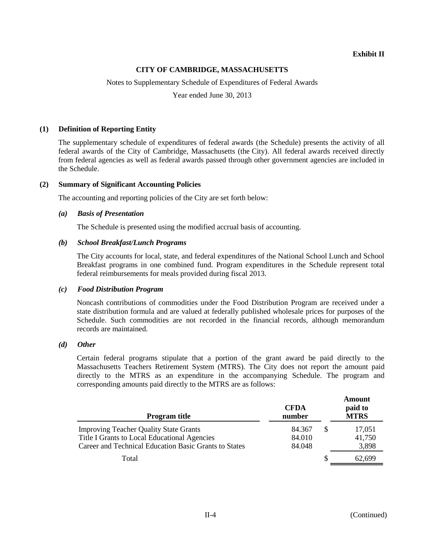# **CITY OF CAMBRIDGE, MASSACHUSETTS**

Notes to Supplementary Schedule of Expenditures of Federal Awards

Year ended June 30, 2013

# **(1) Definition of Reporting Entity**

The supplementary schedule of expenditures of federal awards (the Schedule) presents the activity of all federal awards of the City of Cambridge, Massachusetts (the City). All federal awards received directly from federal agencies as well as federal awards passed through other government agencies are included in the Schedule.

# **(2) Summary of Significant Accounting Policies**

The accounting and reporting policies of the City are set forth below:

# *(a) Basis of Presentation*

The Schedule is presented using the modified accrual basis of accounting.

#### *(b) School Breakfast/Lunch Programs*

The City accounts for local, state, and federal expenditures of the National School Lunch and School Breakfast programs in one combined fund. Program expenditures in the Schedule represent total federal reimbursements for meals provided during fiscal 2013.

#### *(c) Food Distribution Program*

Noncash contributions of commodities under the Food Distribution Program are received under a state distribution formula and are valued at federally published wholesale prices for purposes of the Schedule. Such commodities are not recorded in the financial records, although memorandum records are maintained.

# *(d) Other*

Certain federal programs stipulate that a portion of the grant award be paid directly to the Massachusetts Teachers Retirement System (MTRS). The City does not report the amount paid directly to the MTRS as an expenditure in the accompanying Schedule. The program and corresponding amounts paid directly to the MTRS are as follows:

| <b>Program title</b>                                                                                                                                   | <b>CFDA</b><br>number      | Amount<br>paid to<br><b>MTRS</b> |
|--------------------------------------------------------------------------------------------------------------------------------------------------------|----------------------------|----------------------------------|
| <b>Improving Teacher Quality State Grants</b><br>Title I Grants to Local Educational Agencies<br>Career and Technical Education Basic Grants to States | 84.367<br>84.010<br>84.048 | 17,051<br>41,750<br>3,898        |
| Total                                                                                                                                                  |                            | 62,699                           |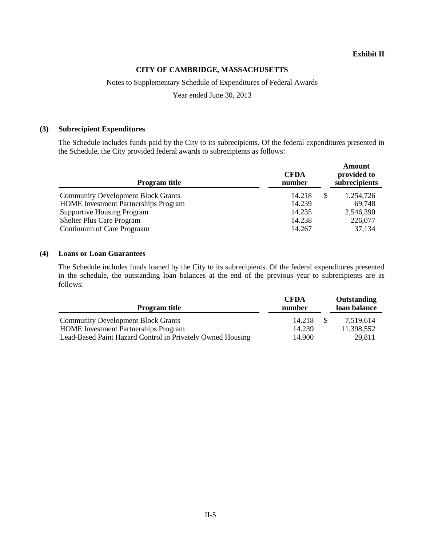# **CITY OF CAMBRIDGE, MASSACHUSETTS**

Notes to Supplementary Schedule of Expenditures of Federal Awards

Year ended June 30, 2013

#### **(3) Subrecipient Expenditures**

The Schedule includes funds paid by the City to its subrecipients. Of the federal expenditures presented in the Schedule, the City provided federal awards to subrecipients as follows:

| <b>Program title</b>                        | <b>CFDA</b><br>number |   | Amount<br>provided to<br>subrecipients |
|---------------------------------------------|-----------------------|---|----------------------------------------|
| <b>Community Development Block Grants</b>   | 14.218                | S | 1,254,726                              |
| <b>HOME</b> Investment Partnerships Program | 14.239                |   | 69,748                                 |
| <b>Supportive Housing Program</b>           | 14.235                |   | 2,546,390                              |
| <b>Shelter Plus Care Program</b>            | 14.238                |   | 226,077                                |
| Continuum of Care Prograam                  | 14.267                |   | 37,134                                 |

## **(4) Loans or Loan Guarantees**

The Schedule includes funds loaned by the City to its subrecipients. Of the federal expenditures presented in the schedule, the outstanding loan balances at the end of the previous year to subrecipients are as follows:

| <b>Program title</b>                                       | <b>CFDA</b><br>number | Outstanding<br>loan balance |
|------------------------------------------------------------|-----------------------|-----------------------------|
| <b>Community Development Block Grants</b>                  | 14.218                | 7.519.614                   |
| <b>HOME</b> Investment Partnerships Program                | 14.239                | 11,398,552                  |
| Lead-Based Paint Hazard Control in Privately Owned Housing | 14.900                | 29,811                      |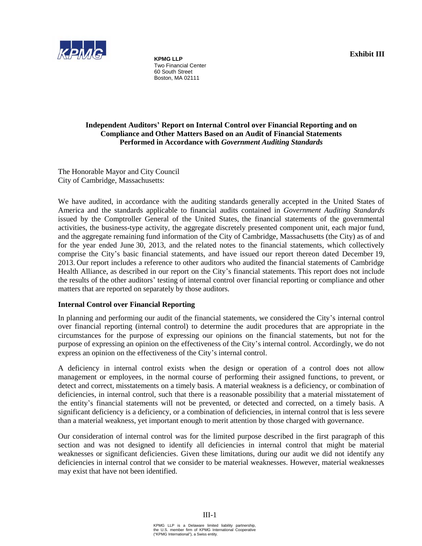

**KPMG LLP**  Two Financial Center 60 South Street Boston, MA 02111

**Exhibit III** 

#### **Independent Auditors' Report on Internal Control over Financial Reporting and on Compliance and Other Matters Based on an Audit of Financial Statements Performed in Accordance with** *Government Auditing Standards*

The Honorable Mayor and City Council City of Cambridge, Massachusetts:

We have audited, in accordance with the auditing standards generally accepted in the United States of America and the standards applicable to financial audits contained in *Government Auditing Standards* issued by the Comptroller General of the United States, the financial statements of the governmental activities, the business-type activity, the aggregate discretely presented component unit, each major fund, and the aggregate remaining fund information of the City of Cambridge, Massachusetts (the City) as of and for the year ended June 30, 2013, and the related notes to the financial statements, which collectively comprise the City's basic financial statements, and have issued our report thereon dated December 19, 2013. Our report includes a reference to other auditors who audited the financial statements of Cambridge Health Alliance, as described in our report on the City's financial statements. This report does not include the results of the other auditors' testing of internal control over financial reporting or compliance and other matters that are reported on separately by those auditors.

# **Internal Control over Financial Reporting**

In planning and performing our audit of the financial statements, we considered the City's internal control over financial reporting (internal control) to determine the audit procedures that are appropriate in the circumstances for the purpose of expressing our opinions on the financial statements, but not for the purpose of expressing an opinion on the effectiveness of the City's internal control. Accordingly, we do not express an opinion on the effectiveness of the City's internal control.

A deficiency in internal control exists when the design or operation of a control does not allow management or employees, in the normal course of performing their assigned functions, to prevent, or detect and correct, misstatements on a timely basis. A material weakness is a deficiency, or combination of deficiencies, in internal control, such that there is a reasonable possibility that a material misstatement of the entity's financial statements will not be prevented, or detected and corrected, on a timely basis. A significant deficiency is a deficiency, or a combination of deficiencies, in internal control that is less severe than a material weakness, yet important enough to merit attention by those charged with governance.

Our consideration of internal control was for the limited purpose described in the first paragraph of this section and was not designed to identify all deficiencies in internal control that might be material weaknesses or significant deficiencies. Given these limitations, during our audit we did not identify any deficiencies in internal control that we consider to be material weaknesses. However, material weaknesses may exist that have not been identified.

III-1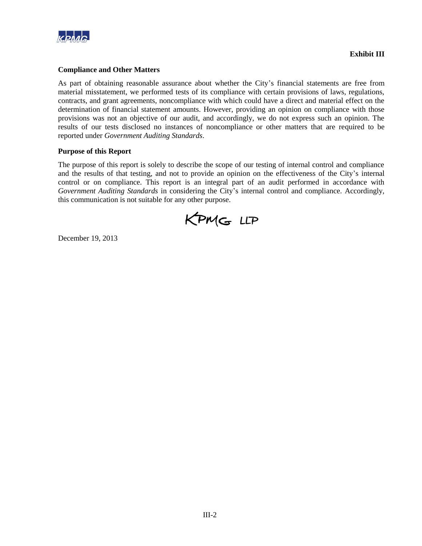

# **Compliance and Other Matters**

As part of obtaining reasonable assurance about whether the City's financial statements are free from material misstatement, we performed tests of its compliance with certain provisions of laws, regulations, contracts, and grant agreements, noncompliance with which could have a direct and material effect on the determination of financial statement amounts. However, providing an opinion on compliance with those provisions was not an objective of our audit, and accordingly, we do not express such an opinion. The results of our tests disclosed no instances of noncompliance or other matters that are required to be reported under *Government Auditing Standards*.

#### **Purpose of this Report**

The purpose of this report is solely to describe the scope of our testing of internal control and compliance and the results of that testing, and not to provide an opinion on the effectiveness of the City's internal control or on compliance. This report is an integral part of an audit performed in accordance with *Government Auditing Standards* in considering the City's internal control and compliance. Accordingly, this communication is not suitable for any other purpose.

KPMG LLP

December 19, 2013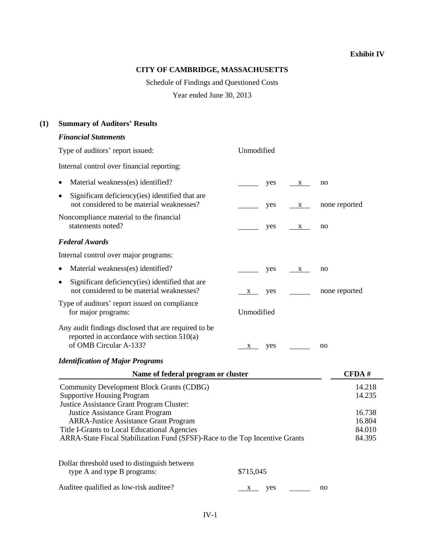# **CITY OF CAMBRIDGE, MASSACHUSETTS**

Schedule of Findings and Questioned Costs

Year ended June 30, 2013

# **(1) Summary of Auditors' Results**

# *Financial Statements*

| Type of auditors' report issued:                                                                                                                                                                                        | Unmodified                     |                                      |
|-------------------------------------------------------------------------------------------------------------------------------------------------------------------------------------------------------------------------|--------------------------------|--------------------------------------|
| Internal control over financial reporting:                                                                                                                                                                              |                                |                                      |
| Material weakness(es) identified?<br>$\bullet$                                                                                                                                                                          | yes<br>$\mathbf{X}$            | no                                   |
| Significant deficiency (ies) identified that are<br>$\bullet$<br>not considered to be material weaknesses?                                                                                                              | yes<br>$\mathbf{X}$            | none reported                        |
| Noncompliance material to the financial<br>statements noted?                                                                                                                                                            | yes<br>$\overline{\mathbf{X}}$ | no                                   |
| <b>Federal Awards</b>                                                                                                                                                                                                   |                                |                                      |
| Internal control over major programs:                                                                                                                                                                                   |                                |                                      |
| Material weakness(es) identified?                                                                                                                                                                                       | yes<br>$\mathbf{X}$            | no                                   |
| Significant deficiency (ies) identified that are<br>$\bullet$<br>not considered to be material weaknesses?                                                                                                              | yes<br>X                       | none reported                        |
| Type of auditors' report issued on compliance<br>for major programs:                                                                                                                                                    | Unmodified                     |                                      |
| Any audit findings disclosed that are required to be<br>reported in accordance with section $510(a)$<br>of OMB Circular A-133?                                                                                          | yes<br>X                       | no                                   |
| <b>Identification of Major Programs</b>                                                                                                                                                                                 |                                |                                      |
| Name of federal program or cluster                                                                                                                                                                                      |                                | CFDA#                                |
| Community Development Block Grants (CDBG)<br><b>Supportive Housing Program</b><br>Justice Assistance Grant Program Cluster:                                                                                             |                                | 14.218<br>14.235                     |
| <b>Justice Assistance Grant Program</b><br><b>ARRA-Justice Assistance Grant Program</b><br>Title I-Grants to Local Educational Agencies<br>ARRA-State Fiscal Stabilization Fund (SFSF)-Race to the Top Incentive Grants |                                | 16.738<br>16.804<br>84.010<br>84.395 |
| Dollar threshold used to distinguish between<br>type A and type B programs:                                                                                                                                             | \$715,045                      |                                      |
| Auditee qualified as low-risk auditee?                                                                                                                                                                                  | yes<br>$X \sim$                | no                                   |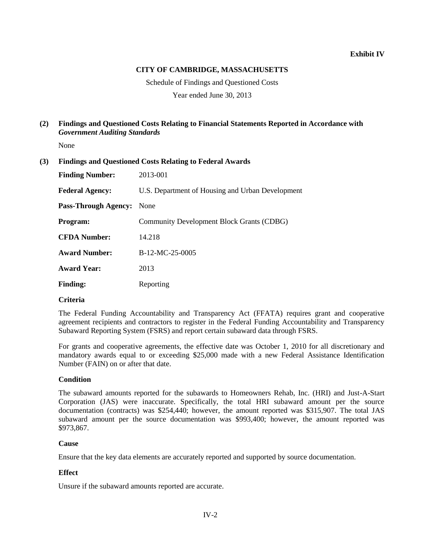# **CITY OF CAMBRIDGE, MASSACHUSETTS**

Schedule of Findings and Questioned Costs

Year ended June 30, 2013

# **(2) Findings and Questioned Costs Relating to Financial Statements Reported in Accordance with**  *Government Auditing Standards*

None

| (3) |  |  | <b>Findings and Questioned Costs Relating to Federal Awards</b> |  |
|-----|--|--|-----------------------------------------------------------------|--|
|-----|--|--|-----------------------------------------------------------------|--|

| <b>Finding Number:</b>      | 2013-001                                         |
|-----------------------------|--------------------------------------------------|
| <b>Federal Agency:</b>      | U.S. Department of Housing and Urban Development |
| <b>Pass-Through Agency:</b> | None                                             |
| Program:                    | Community Development Block Grants (CDBG)        |
| <b>CFDA Number:</b>         | 14.218                                           |
| <b>Award Number:</b>        | $B-12-MC-25-0005$                                |
| <b>Award Year:</b>          | 2013                                             |
| <b>Finding:</b>             | Reporting                                        |

# **Criteria**

The Federal Funding Accountability and Transparency Act (FFATA) requires grant and cooperative agreement recipients and contractors to register in the Federal Funding Accountability and Transparency Subaward Reporting System (FSRS) and report certain subaward data through FSRS.

For grants and cooperative agreements, the effective date was October 1, 2010 for all discretionary and mandatory awards equal to or exceeding \$25,000 made with a new Federal Assistance Identification Number (FAIN) on or after that date.

# **Condition**

The subaward amounts reported for the subawards to Homeowners Rehab, Inc. (HRI) and Just-A-Start Corporation (JAS) were inaccurate. Specifically, the total HRI subaward amount per the source documentation (contracts) was \$254,440; however, the amount reported was \$315,907. The total JAS subaward amount per the source documentation was \$993,400; however, the amount reported was \$973,867.

# **Cause**

Ensure that the key data elements are accurately reported and supported by source documentation.

# **Effect**

Unsure if the subaward amounts reported are accurate.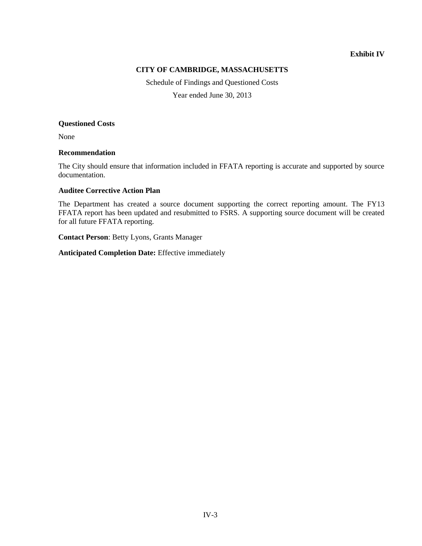# **CITY OF CAMBRIDGE, MASSACHUSETTS**

Schedule of Findings and Questioned Costs

Year ended June 30, 2013

#### **Questioned Costs**

None

# **Recommendation**

The City should ensure that information included in FFATA reporting is accurate and supported by source documentation.

# **Auditee Corrective Action Plan**

The Department has created a source document supporting the correct reporting amount. The FY13 FFATA report has been updated and resubmitted to FSRS. A supporting source document will be created for all future FFATA reporting.

**Contact Person**: Betty Lyons, Grants Manager

**Anticipated Completion Date:** Effective immediately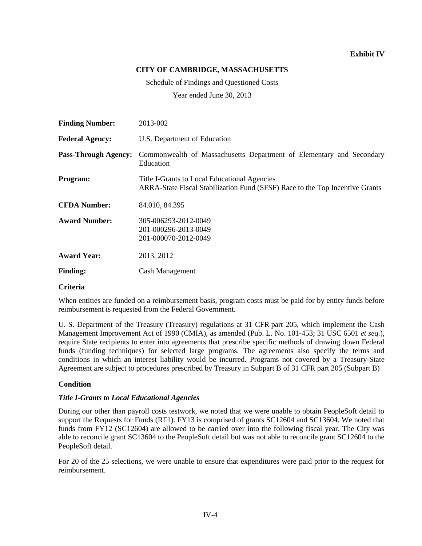# **CITY OF CAMBRIDGE, MASSACHUSETTS**

Schedule of Findings and Questioned Costs

Year ended June 30, 2013

| <b>Finding Number:</b>      | 2013-002                                                                                                                     |
|-----------------------------|------------------------------------------------------------------------------------------------------------------------------|
| <b>Federal Agency:</b>      | U.S. Department of Education                                                                                                 |
| <b>Pass-Through Agency:</b> | Commonwealth of Massachusetts Department of Elementary and Secondary<br>Education                                            |
| Program:                    | Title I-Grants to Local Educational Agencies<br>ARRA-State Fiscal Stabilization Fund (SFSF) Race to the Top Incentive Grants |
| <b>CFDA Number:</b>         | 84.010, 84.395                                                                                                               |
| <b>Award Number:</b>        | 305-006293-2012-0049<br>201-000296-2013-0049<br>201-000070-2012-0049                                                         |
| <b>Award Year:</b>          | 2013, 2012                                                                                                                   |
| <b>Finding:</b>             | <b>Cash Management</b>                                                                                                       |

#### **Criteria**

When entities are funded on a reimbursement basis, program costs must be paid for by entity funds before reimbursement is requested from the Federal Government.

U. S. Department of the Treasury (Treasury) regulations at 31 CFR part 205, which implement the Cash Management Improvement Act of 1990 (CMIA), as amended (Pub. L. No. 101-453; 31 USC 6501 *et seq.*), require State recipients to enter into agreements that prescribe specific methods of drawing down Federal funds (funding techniques) for selected large programs. The agreements also specify the terms and conditions in which an interest liability would be incurred. Programs not covered by a Treasury-State Agreement are subject to procedures prescribed by Treasury in Subpart B of 31 CFR part 205 (Subpart B)

# **Condition**

#### *Title I-Grants to Local Educational Agencies*

During our other than payroll costs testwork, we noted that we were unable to obtain PeopleSoft detail to support the Requests for Funds (RF1). FY13 is comprised of grants SC12604 and SC13604. We noted that funds from FY12 (SC12604) are allowed to be carried over into the following fiscal year. The City was able to reconcile grant SC13604 to the PeopleSoft detail but was not able to reconcile grant SC12604 to the PeopleSoft detail.

For 20 of the 25 selections, we were unable to ensure that expenditures were paid prior to the request for reimbursement.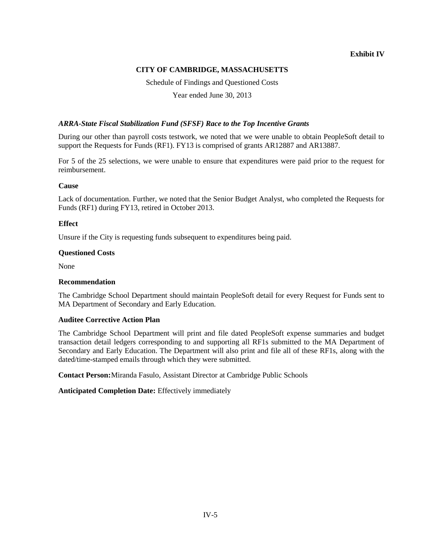# **CITY OF CAMBRIDGE, MASSACHUSETTS**

Schedule of Findings and Questioned Costs

Year ended June 30, 2013

# *ARRA-State Fiscal Stabilization Fund (SFSF) Race to the Top Incentive Grants*

During our other than payroll costs testwork, we noted that we were unable to obtain PeopleSoft detail to support the Requests for Funds (RF1). FY13 is comprised of grants AR12887 and AR13887.

For 5 of the 25 selections, we were unable to ensure that expenditures were paid prior to the request for reimbursement.

#### **Cause**

Lack of documentation. Further, we noted that the Senior Budget Analyst, who completed the Requests for Funds (RF1) during FY13, retired in October 2013.

#### **Effect**

Unsure if the City is requesting funds subsequent to expenditures being paid.

#### **Questioned Costs**

None

#### **Recommendation**

The Cambridge School Department should maintain PeopleSoft detail for every Request for Funds sent to MA Department of Secondary and Early Education.

#### **Auditee Corrective Action Plan**

The Cambridge School Department will print and file dated PeopleSoft expense summaries and budget transaction detail ledgers corresponding to and supporting all RF1s submitted to the MA Department of Secondary and Early Education. The Department will also print and file all of these RF1s, along with the dated/time-stamped emails through which they were submitted.

**Contact Person:**Miranda Fasulo, Assistant Director at Cambridge Public Schools

**Anticipated Completion Date:** Effectively immediately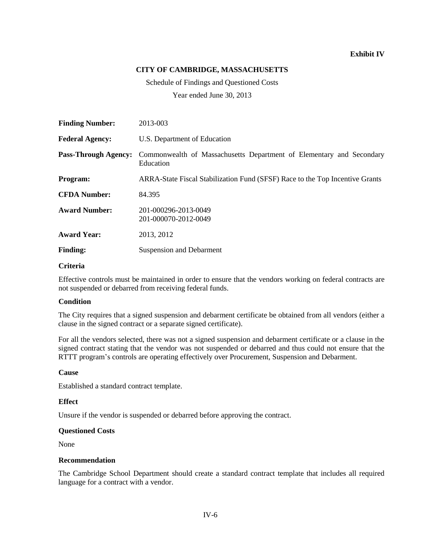# **CITY OF CAMBRIDGE, MASSACHUSETTS**

Schedule of Findings and Questioned Costs

Year ended June 30, 2013

| <b>Finding Number:</b>      | 2013-003                                                                          |
|-----------------------------|-----------------------------------------------------------------------------------|
| <b>Federal Agency:</b>      | U.S. Department of Education                                                      |
| <b>Pass-Through Agency:</b> | Commonwealth of Massachusetts Department of Elementary and Secondary<br>Education |
| Program:                    | ARRA-State Fiscal Stabilization Fund (SFSF) Race to the Top Incentive Grants      |
| <b>CFDA Number:</b>         | 84.395                                                                            |
| <b>Award Number:</b>        | 201-000296-2013-0049<br>201-000070-2012-0049                                      |
| <b>Award Year:</b>          | 2013, 2012                                                                        |
| <b>Finding:</b>             | <b>Suspension and Debarment</b>                                                   |

# **Criteria**

Effective controls must be maintained in order to ensure that the vendors working on federal contracts are not suspended or debarred from receiving federal funds.

# **Condition**

The City requires that a signed suspension and debarment certificate be obtained from all vendors (either a clause in the signed contract or a separate signed certificate).

For all the vendors selected, there was not a signed suspension and debarment certificate or a clause in the signed contract stating that the vendor was not suspended or debarred and thus could not ensure that the RTTT program's controls are operating effectively over Procurement, Suspension and Debarment.

#### **Cause**

Established a standard contract template.

#### **Effect**

Unsure if the vendor is suspended or debarred before approving the contract.

#### **Questioned Costs**

None

#### **Recommendation**

The Cambridge School Department should create a standard contract template that includes all required language for a contract with a vendor.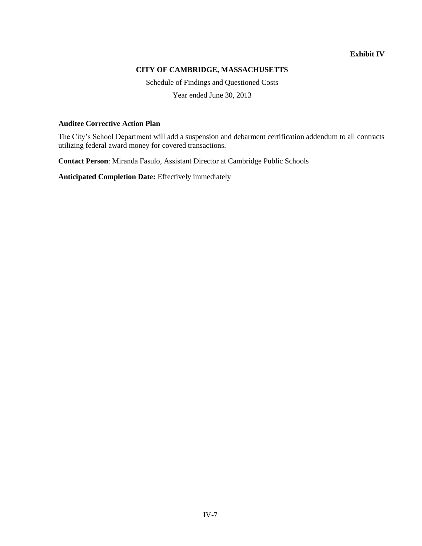# **CITY OF CAMBRIDGE, MASSACHUSETTS**

Schedule of Findings and Questioned Costs

Year ended June 30, 2013

# **Auditee Corrective Action Plan**

The City's School Department will add a suspension and debarment certification addendum to all contracts utilizing federal award money for covered transactions.

**Contact Person**: Miranda Fasulo, Assistant Director at Cambridge Public Schools

**Anticipated Completion Date:** Effectively immediately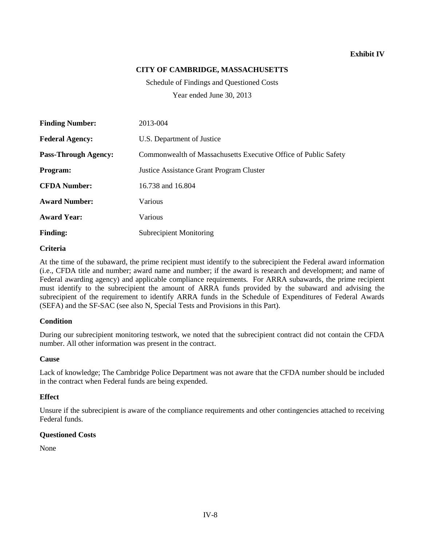# **CITY OF CAMBRIDGE, MASSACHUSETTS**

Schedule of Findings and Questioned Costs Year ended June 30, 2013

| <b>Finding Number:</b>      | 2013-004                                                        |
|-----------------------------|-----------------------------------------------------------------|
| <b>Federal Agency:</b>      | U.S. Department of Justice                                      |
| <b>Pass-Through Agency:</b> | Commonwealth of Massachusetts Executive Office of Public Safety |
| Program:                    | <b>Justice Assistance Grant Program Cluster</b>                 |
| <b>CFDA Number:</b>         | 16.738 and 16.804                                               |
| <b>Award Number:</b>        | Various                                                         |
| <b>Award Year:</b>          | Various                                                         |
| <b>Finding:</b>             | <b>Subrecipient Monitoring</b>                                  |

#### **Criteria**

At the time of the subaward, the prime recipient must identify to the subrecipient the Federal award information (i.e., CFDA title and number; award name and number; if the award is research and development; and name of Federal awarding agency) and applicable compliance requirements. For ARRA subawards, the prime recipient must identify to the subrecipient the amount of ARRA funds provided by the subaward and advising the subrecipient of the requirement to identify ARRA funds in the Schedule of Expenditures of Federal Awards (SEFA) and the SF-SAC (see also N, Special Tests and Provisions in this Part).

# **Condition**

During our subrecipient monitoring testwork, we noted that the subrecipient contract did not contain the CFDA number. All other information was present in the contract.

#### **Cause**

Lack of knowledge; The Cambridge Police Department was not aware that the CFDA number should be included in the contract when Federal funds are being expended.

#### **Effect**

Unsure if the subrecipient is aware of the compliance requirements and other contingencies attached to receiving Federal funds.

#### **Questioned Costs**

None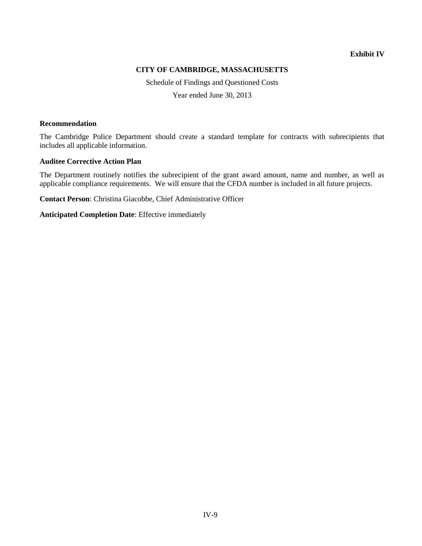# **CITY OF CAMBRIDGE, MASSACHUSETTS**

Schedule of Findings and Questioned Costs

Year ended June 30, 2013

#### **Recommendation**

The Cambridge Police Department should create a standard template for contracts with subrecipients that includes all applicable information.

# **Auditee Corrective Action Plan**

The Department routinely notifies the subrecipient of the grant award amount, name and number, as well as applicable compliance requirements. We will ensure that the CFDA number is included in all future projects.

**Contact Person**: Christina Giacobbe, Chief Administrative Officer

**Anticipated Completion Date**: Effective immediately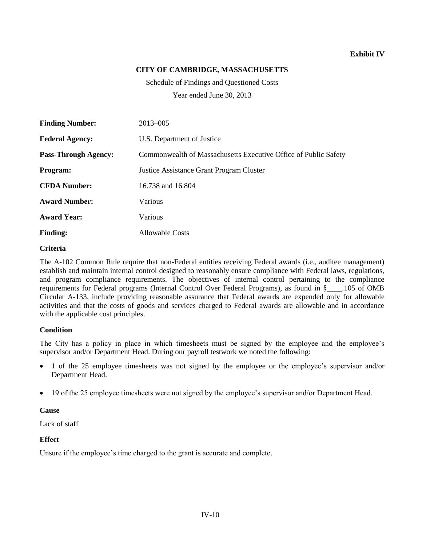# **CITY OF CAMBRIDGE, MASSACHUSETTS**

Schedule of Findings and Questioned Costs Year ended June 30, 2013

**Finding Number:** 2013–005 **Federal Agency:** U.S. Department of Justice **Pass-Through Agency:** Commonwealth of Massachusetts Executive Office of Public Safety **Program:** Justice Assistance Grant Program Cluster **CFDA Number:** 16.738 and 16.804 **Award Number:** Various **Award Year:** Various **Finding:** Allowable Costs

#### **Criteria**

The A-102 Common Rule require that non-Federal entities receiving Federal awards (i.e., auditee management) establish and maintain internal control designed to reasonably ensure compliance with Federal laws, regulations, and program compliance requirements. The objectives of internal control pertaining to the compliance requirements for Federal programs (Internal Control Over Federal Programs), as found in §\_\_\_\_.105 of OMB Circular A-133, include providing reasonable assurance that Federal awards are expended only for allowable activities and that the costs of goods and services charged to Federal awards are allowable and in accordance with the applicable cost principles.

# **Condition**

The City has a policy in place in which timesheets must be signed by the employee and the employee's supervisor and/or Department Head. During our payroll testwork we noted the following:

- 1 of the 25 employee timesheets was not signed by the employee or the employee's supervisor and/or Department Head.
- 19 of the 25 employee timesheets were not signed by the employee's supervisor and/or Department Head.

# **Cause**

Lack of staff

# **Effect**

Unsure if the employee's time charged to the grant is accurate and complete.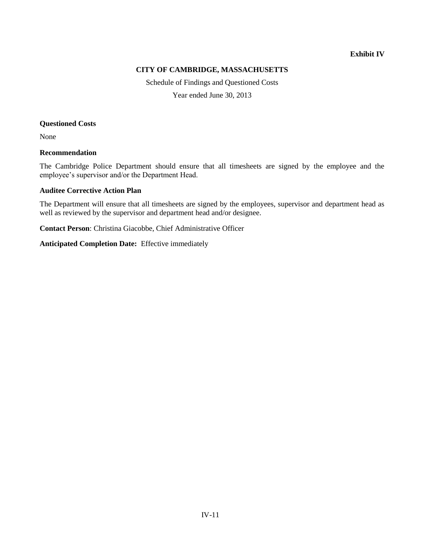# **CITY OF CAMBRIDGE, MASSACHUSETTS**

Schedule of Findings and Questioned Costs

Year ended June 30, 2013

#### **Questioned Costs**

None

# **Recommendation**

The Cambridge Police Department should ensure that all timesheets are signed by the employee and the employee's supervisor and/or the Department Head.

# **Auditee Corrective Action Plan**

The Department will ensure that all timesheets are signed by the employees, supervisor and department head as well as reviewed by the supervisor and department head and/or designee.

**Contact Person**: Christina Giacobbe, Chief Administrative Officer

#### **Anticipated Completion Date:** Effective immediately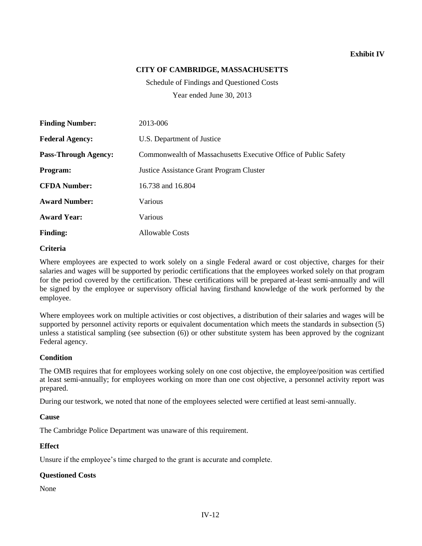# **CITY OF CAMBRIDGE, MASSACHUSETTS**

Schedule of Findings and Questioned Costs Year ended June 30, 2013

**Finding Number:** 2013-006 **Federal Agency:** U.S. Department of Justice **Pass-Through Agency:** Commonwealth of Massachusetts Executive Office of Public Safety **Program:** Justice Assistance Grant Program Cluster **CFDA Number:** 16.738 and 16.804 **Award Number:** Various **Award Year:** Various **Finding:** Allowable Costs

#### **Criteria**

Where employees are expected to work solely on a single Federal award or cost objective, charges for their salaries and wages will be supported by periodic certifications that the employees worked solely on that program for the period covered by the certification. These certifications will be prepared at-least semi-annually and will be signed by the employee or supervisory official having firsthand knowledge of the work performed by the employee.

Where employees work on multiple activities or cost objectives, a distribution of their salaries and wages will be supported by personnel activity reports or equivalent documentation which meets the standards in subsection (5) unless a statistical sampling (see subsection (6)) or other substitute system has been approved by the cognizant Federal agency.

# **Condition**

The OMB requires that for employees working solely on one cost objective, the employee/position was certified at least semi-annually; for employees working on more than one cost objective, a personnel activity report was prepared.

During our testwork, we noted that none of the employees selected were certified at least semi-annually.

#### **Cause**

The Cambridge Police Department was unaware of this requirement.

#### **Effect**

Unsure if the employee's time charged to the grant is accurate and complete.

#### **Questioned Costs**

None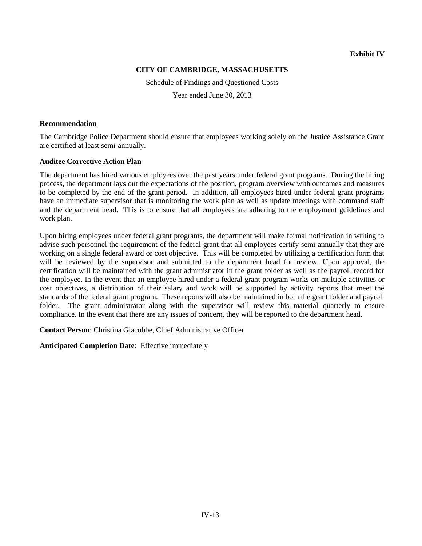# **CITY OF CAMBRIDGE, MASSACHUSETTS**

Schedule of Findings and Questioned Costs

Year ended June 30, 2013

#### **Recommendation**

The Cambridge Police Department should ensure that employees working solely on the Justice Assistance Grant are certified at least semi-annually.

# **Auditee Corrective Action Plan**

The department has hired various employees over the past years under federal grant programs. During the hiring process, the department lays out the expectations of the position, program overview with outcomes and measures to be completed by the end of the grant period. In addition, all employees hired under federal grant programs have an immediate supervisor that is monitoring the work plan as well as update meetings with command staff and the department head. This is to ensure that all employees are adhering to the employment guidelines and work plan.

Upon hiring employees under federal grant programs, the department will make formal notification in writing to advise such personnel the requirement of the federal grant that all employees certify semi annually that they are working on a single federal award or cost objective. This will be completed by utilizing a certification form that will be reviewed by the supervisor and submitted to the department head for review. Upon approval, the certification will be maintained with the grant administrator in the grant folder as well as the payroll record for the employee. In the event that an employee hired under a federal grant program works on multiple activities or cost objectives, a distribution of their salary and work will be supported by activity reports that meet the standards of the federal grant program. These reports will also be maintained in both the grant folder and payroll folder. The grant administrator along with the supervisor will review this material quarterly to ensure compliance. In the event that there are any issues of concern, they will be reported to the department head.

**Contact Person**: Christina Giacobbe, Chief Administrative Officer

**Anticipated Completion Date**: Effective immediately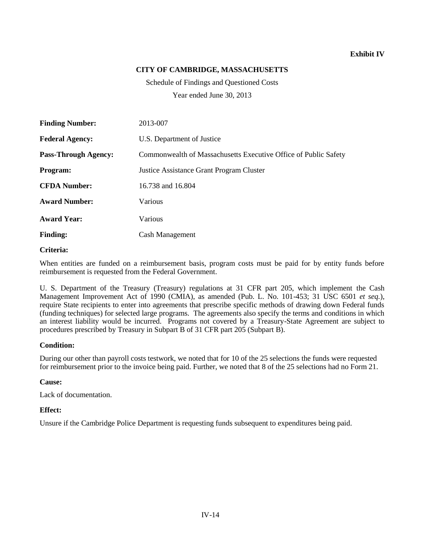# **CITY OF CAMBRIDGE, MASSACHUSETTS**

Schedule of Findings and Questioned Costs Year ended June 30, 2013

**Finding Number:** 2013-007 **Federal Agency:** U.S. Department of Justice **Pass-Through Agency:** Commonwealth of Massachusetts Executive Office of Public Safety **Program:** Justice Assistance Grant Program Cluster **CFDA Number:** 16.738 and 16.804 **Award Number:** Various **Award Year:** Various **Finding:** Cash Management

#### **Criteria:**

When entities are funded on a reimbursement basis, program costs must be paid for by entity funds before reimbursement is requested from the Federal Government.

U. S. Department of the Treasury (Treasury) regulations at 31 CFR part 205, which implement the Cash Management Improvement Act of 1990 (CMIA), as amended (Pub. L. No. 101-453; 31 USC 6501 *et seq.*), require State recipients to enter into agreements that prescribe specific methods of drawing down Federal funds (funding techniques) for selected large programs. The agreements also specify the terms and conditions in which an interest liability would be incurred. Programs not covered by a Treasury-State Agreement are subject to procedures prescribed by Treasury in Subpart B of 31 CFR part 205 (Subpart B).

# **Condition:**

During our other than payroll costs testwork, we noted that for 10 of the 25 selections the funds were requested for reimbursement prior to the invoice being paid. Further, we noted that 8 of the 25 selections had no Form 21.

# **Cause:**

Lack of documentation.

# **Effect:**

Unsure if the Cambridge Police Department is requesting funds subsequent to expenditures being paid.